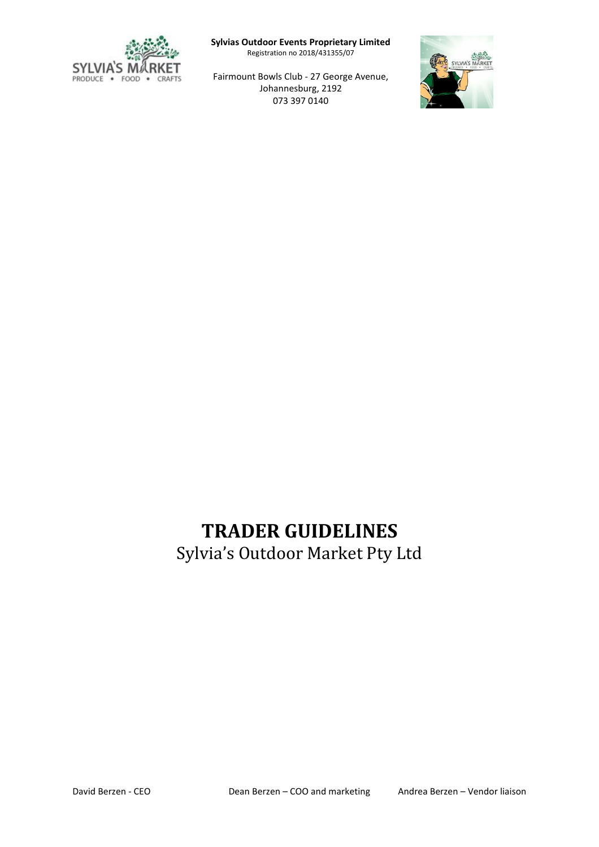

**Sylvias Outdoor Events Proprietary Limited**

Registration no 2018/431355/07

Fairmount Bowls Club - 27 George Avenue, Johannesburg, 2192 073 397 0140



# **TRADER GUIDELINES**

Sylvia's Outdoor Market Pty Ltd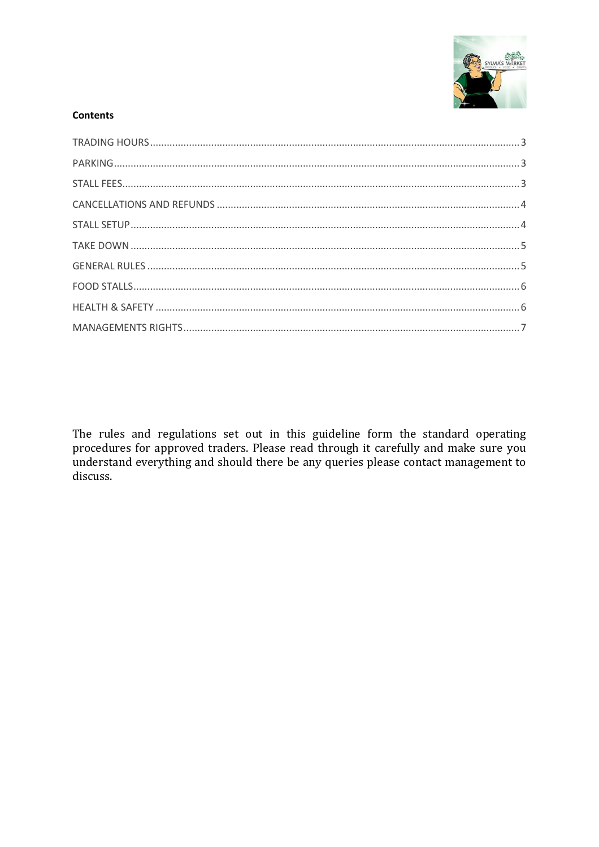

# **Contents**

The rules and regulations set out in this guideline form the standard operating procedures for approved traders. Please read through it carefully and make sure you understand everything and should there be any queries please contact management to discuss.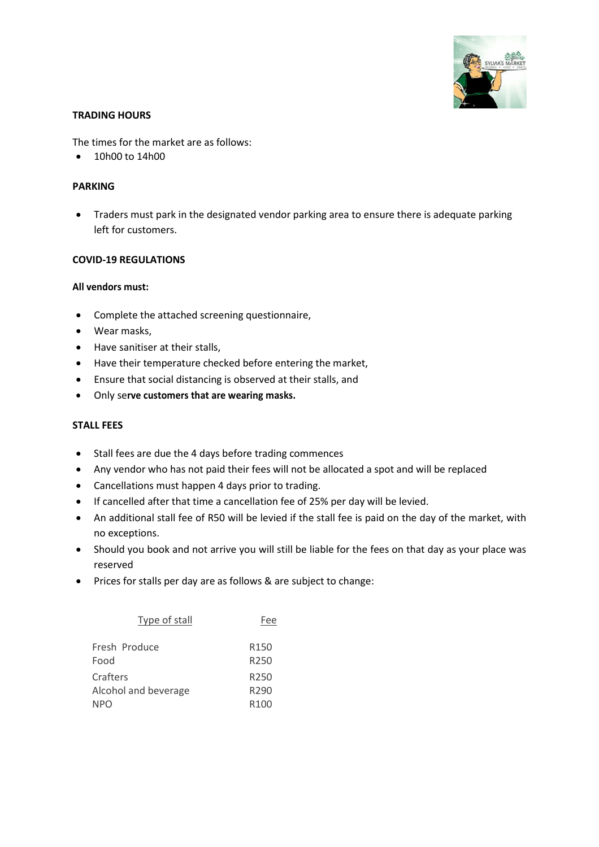

#### <span id="page-2-0"></span>**TRADING HOURS**

The times for the market are as follows:

• 10h00 to 14h00

### <span id="page-2-1"></span>**PARKING**

• Traders must park in the designated vendor parking area to ensure there is adequate parking left for customers.

#### **COVID-19 REGULATIONS**

#### **All vendors must:**

- Complete the attached screening questionnaire,
- Wear masks,
- Have sanitiser at their stalls,
- Have their temperature checked before entering the market,
- Ensure that social distancing is observed at their stalls, and
- Only se**rve customers that are wearing masks.**

#### <span id="page-2-2"></span>**STALL FEES**

- Stall fees are due the 4 days before trading commences
- Any vendor who has not paid their fees will not be allocated a spot and will be replaced
- Cancellations must happen 4 days prior to trading.
- If cancelled after that time a cancellation fee of 25% per day will be levied.
- An additional stall fee of R50 will be levied if the stall fee is paid on the day of the market, with no exceptions.
- Should you book and not arrive you will still be liable for the fees on that day as your place was reserved
- Prices for stalls per day are as follows & are subject to change:

| Type of stall        | Fee              |
|----------------------|------------------|
| Fresh Produce        | R <sub>150</sub> |
| Food                 | R <sub>250</sub> |
| Crafters             | R <sub>250</sub> |
| Alcohol and beverage | R290             |
| NPO                  | R <sub>100</sub> |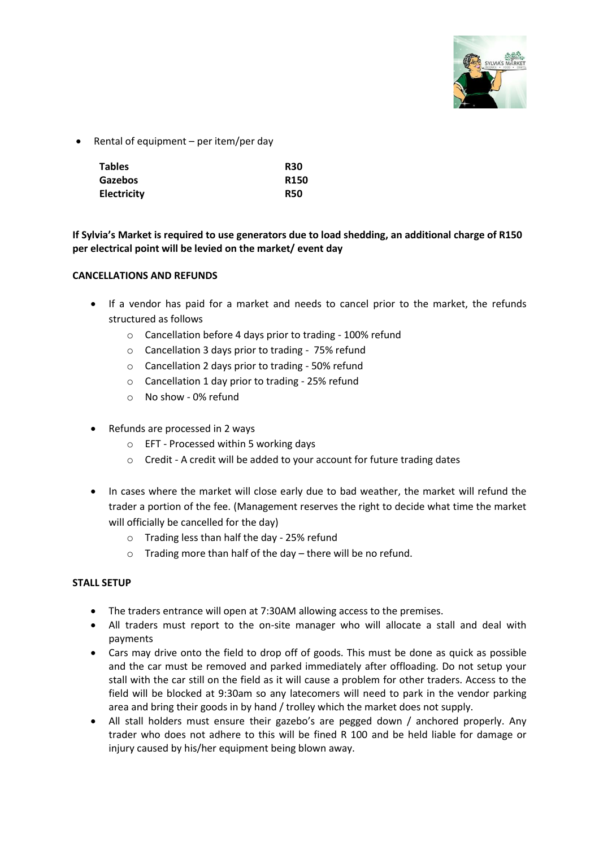

• Rental of equipment – per item/per day

| <b>Tables</b>      | <b>R30</b>  |
|--------------------|-------------|
| <b>Gazebos</b>     | <b>R150</b> |
| <b>Electricity</b> | <b>R50</b>  |

# **If Sylvia's Market is required to use generators due to load shedding, an additional charge of R150 per electrical point will be levied on the market/ event day**

### <span id="page-3-0"></span>**CANCELLATIONS AND REFUNDS**

- If a vendor has paid for a market and needs to cancel prior to the market, the refunds structured as follows
	- o Cancellation before 4 days prior to trading 100% refund
	- o Cancellation 3 days prior to trading 75% refund
	- o Cancellation 2 days prior to trading 50% refund
	- o Cancellation 1 day prior to trading 25% refund
	- o No show 0% refund
- Refunds are processed in 2 ways
	- o EFT Processed within 5 working days
	- o Credit A credit will be added to your account for future trading dates
- In cases where the market will close early due to bad weather, the market will refund the trader a portion of the fee. (Management reserves the right to decide what time the market will officially be cancelled for the day)
	- o Trading less than half the day 25% refund
	- o Trading more than half of the day there will be no refund.

### <span id="page-3-1"></span>**STALL SETUP**

- The traders entrance will open at 7:30AM allowing access to the premises.
- All traders must report to the on-site manager who will allocate a stall and deal with payments
- Cars may drive onto the field to drop off of goods. This must be done as quick as possible and the car must be removed and parked immediately after offloading. Do not setup your stall with the car still on the field as it will cause a problem for other traders. Access to the field will be blocked at 9:30am so any latecomers will need to park in the vendor parking area and bring their goods in by hand / trolley which the market does not supply.
- All stall holders must ensure their gazebo's are pegged down / anchored properly. Any trader who does not adhere to this will be fined R 100 and be held liable for damage or injury caused by his/her equipment being blown away.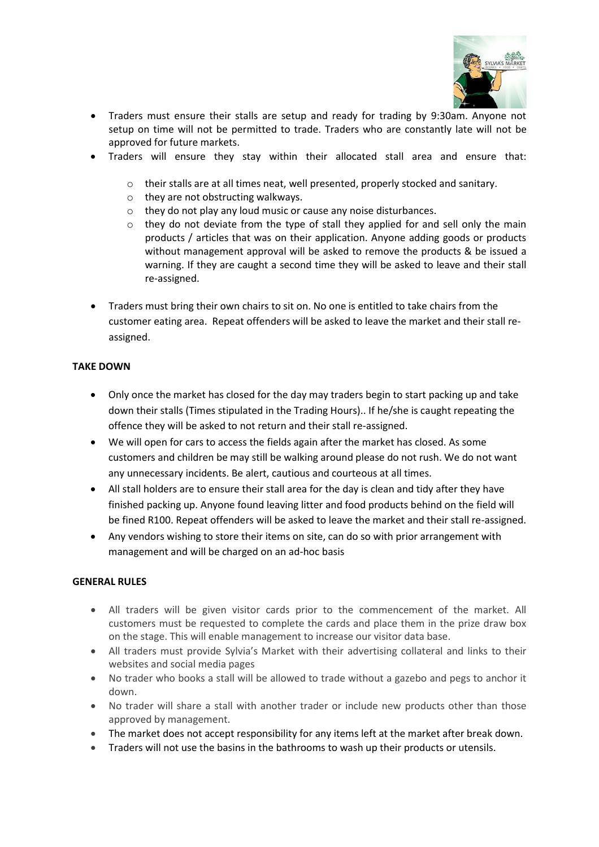

- Traders must ensure their stalls are setup and ready for trading by 9:30am. Anyone not setup on time will not be permitted to trade. Traders who are constantly late will not be approved for future markets.
- Traders will ensure they stay within their allocated stall area and ensure that:
	- $\circ$  their stalls are at all times neat, well presented, properly stocked and sanitary.
	- o they are not obstructing walkways.
	- o they do not play any loud music or cause any noise disturbances.
	- $\circ$  they do not deviate from the type of stall they applied for and sell only the main products / articles that was on their application. Anyone adding goods or products without management approval will be asked to remove the products & be issued a warning. If they are caught a second time they will be asked to leave and their stall re-assigned.
- Traders must bring their own chairs to sit on. No one is entitled to take chairs from the customer eating area. Repeat offenders will be asked to leave the market and their stall reassigned.

### <span id="page-4-0"></span>**TAKE DOWN**

- Only once the market has closed for the day may traders begin to start packing up and take down their stalls (Times stipulated in the Trading Hours).. If he/she is caught repeating the offence they will be asked to not return and their stall re-assigned.
- We will open for cars to access the fields again after the market has closed. As some customers and children be may still be walking around please do not rush. We do not want any unnecessary incidents. Be alert, cautious and courteous at all times.
- All stall holders are to ensure their stall area for the day is clean and tidy after they have finished packing up. Anyone found leaving litter and food products behind on the field will be fined R100. Repeat offenders will be asked to leave the market and their stall re-assigned.
- Any vendors wishing to store their items on site, can do so with prior arrangement with management and will be charged on an ad-hoc basis

### <span id="page-4-1"></span>**GENERAL RULES**

- All traders will be given visitor cards prior to the commencement of the market. All customers must be requested to complete the cards and place them in the prize draw box on the stage. This will enable management to increase our visitor data base.
- All traders must provide Sylvia's Market with their advertising collateral and links to their websites and social media pages
- No trader who books a stall will be allowed to trade without a gazebo and pegs to anchor it down.
- No trader will share a stall with another trader or include new products other than those approved by management.
- The market does not accept responsibility for any items left at the market after break down.
- Traders will not use the basins in the bathrooms to wash up their products or utensils.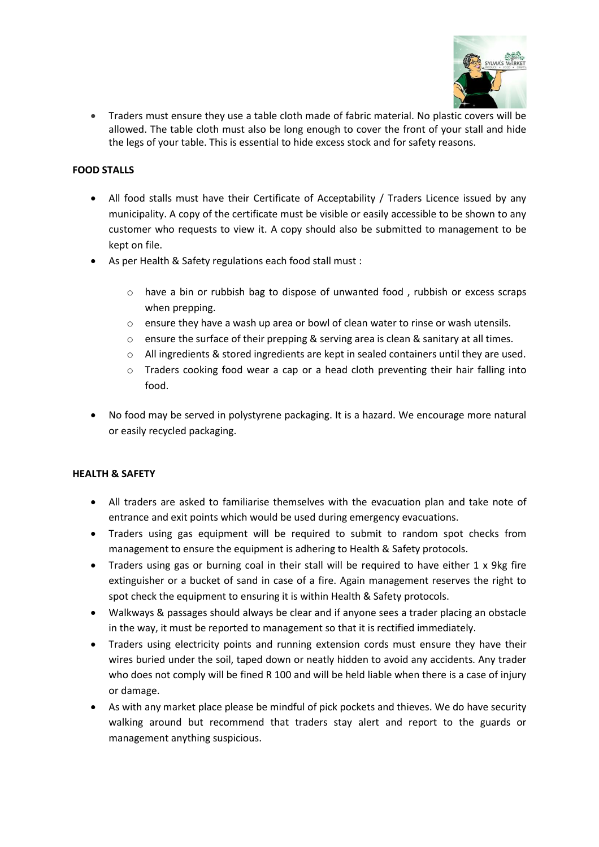

• Traders must ensure they use a table cloth made of fabric material. No plastic covers will be allowed. The table cloth must also be long enough to cover the front of your stall and hide the legs of your table. This is essential to hide excess stock and for safety reasons.

# <span id="page-5-0"></span>**FOOD STALLS**

- All food stalls must have their Certificate of Acceptability / Traders Licence issued by any municipality. A copy of the certificate must be visible or easily accessible to be shown to any customer who requests to view it. A copy should also be submitted to management to be kept on file.
- As per Health & Safety regulations each food stall must :
	- o have a bin or rubbish bag to dispose of unwanted food , rubbish or excess scraps when prepping.
	- $\circ$  ensure they have a wash up area or bowl of clean water to rinse or wash utensils.
	- $\circ$  ensure the surface of their prepping & serving area is clean & sanitary at all times.
	- o All ingredients & stored ingredients are kept in sealed containers until they are used.
	- $\circ$  Traders cooking food wear a cap or a head cloth preventing their hair falling into food.
- No food may be served in polystyrene packaging. It is a hazard. We encourage more natural or easily recycled packaging.

### <span id="page-5-1"></span>**HEALTH & SAFETY**

- All traders are asked to familiarise themselves with the evacuation plan and take note of entrance and exit points which would be used during emergency evacuations.
- Traders using gas equipment will be required to submit to random spot checks from management to ensure the equipment is adhering to Health & Safety protocols.
- Traders using gas or burning coal in their stall will be required to have either 1 x 9kg fire extinguisher or a bucket of sand in case of a fire. Again management reserves the right to spot check the equipment to ensuring it is within Health & Safety protocols.
- Walkways & passages should always be clear and if anyone sees a trader placing an obstacle in the way, it must be reported to management so that it is rectified immediately.
- Traders using electricity points and running extension cords must ensure they have their wires buried under the soil, taped down or neatly hidden to avoid any accidents. Any trader who does not comply will be fined R 100 and will be held liable when there is a case of injury or damage.
- As with any market place please be mindful of pick pockets and thieves. We do have security walking around but recommend that traders stay alert and report to the guards or management anything suspicious.